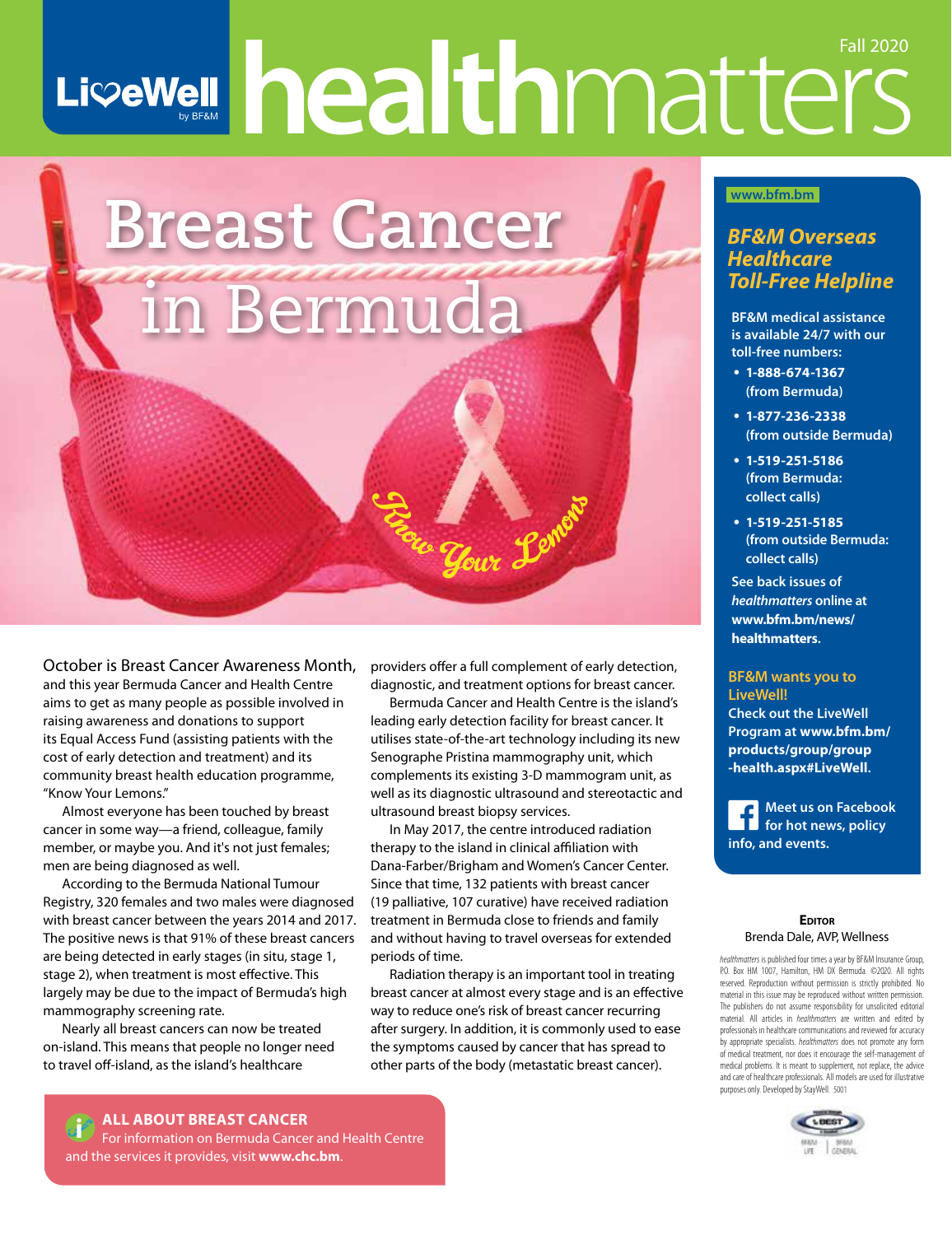# LiveWell healthmatters Fall 2020



October is Breast Cancer Awareness Month, and this year Bermuda Cancer and Health Centre aims to get as many people as possible involved in raising awareness and donations to support its Equal Access Fund (assisting patients with the cost of early detection and treatment) and its community breast health education programme, "Know Your Lemons."

Almost everyone has been touched by breast cancer in some way—a friend, colleague, family member, or maybe you. And it's not just females; men are being diagnosed as well.

According to the Bermuda National Tumour Registry, 320 females and two males were diagnosed with breast cancer between the years 2014 and 2017. The positive news is that 91% of these breast cancers are being detected in early stages (in situ, stage 1, stage 2), when treatment is most effective. This largely may be due to the impact of Bermuda's high mammography screening rate.

Nearly all breast cancers can now be treated on-island. This means that people no longer need to travel off-island, as the island's healthcare

providers offer a full complement of early detection, diagnostic, and treatment options for breast cancer.

Bermuda Cancer and Health Centre is the island's leading early detection facility for breast cancer. It utilises state-of-the-art technology including its new Senographe Pristina mammography unit, which complements its existing 3-D mammogram unit, as well as its diagnostic ultrasound and stereotactic and ultrasound breast biopsy services.

In May 2017, the centre introduced radiation therapy to the island in clinical affiliation with Dana-Farber/Brigham and Women's Cancer Center. Since that time, 132 patients with breast cancer (19 palliative, 107 curative) have received radiation treatment in Bermuda close to friends and family and without having to travel overseas for extended periods of time.

Radiation therapy is an important tool in treating breast cancer at almost every stage and is an effective way to reduce one's risk of breast cancer recurring after surgery. In addition, it is commonly used to ease the symptoms caused by cancer that has spread to other parts of the body (metastatic breast cancer).

# **www.bfm.bm**

# *BF&M Overseas Healthcare Toll-Free Helpline*

**BF&M medical assistance is available 24/7 with our toll-free numbers:**

- **1-888-674-1367 (from Bermuda)**
- **1-877-236-2338 (from outside Bermuda)**
- **1-519-251-5186 (from Bermuda: collect calls)**
- **1-519-251-5185 (from outside Bermuda: collect calls)**

**See back issues of**  *healthmatters* **online at www.bfm.bm/news/ healthmatters.**

#### **BF&M wants you to LiveWell!**

**Check out the LiveWell Program at www.bfm.bm/ products/group/group -health.aspx#LiveWell.** 

**Meet us on Facebook for hot news, policy info, and events.**

#### **EDITOR** Brenda Dale, AVP, Wellness

*healthmatters* is published four times a year by BF&M Insurance Group, P.O. Box HM 1007, Hamilton, HM DX Bermuda. ©2020. All rights reserved. Reproduction without permission is strictly prohibited. No material in this issue may be reproduced without written permission. The publishers do not assume responsibility for unsolicited editorial material. All articles in *healthmatters* are written and edited by professionals in healthcare communications and reviewed for accuracy by appropriate specialists. *healthmatters* does not promote any form of medical treatment, nor does it encourage the self-management of medical problems. It is meant to supplement, not replace, the advice and care of healthcare professionals. All models are used for illustrative purposes only. Developed by StayWell. 5001



**1** ALL ABOUT BREAST CANCER<br>
For information on Bermuda Cancer and Health Centre and the services it provides, visit **www.chc.bm**.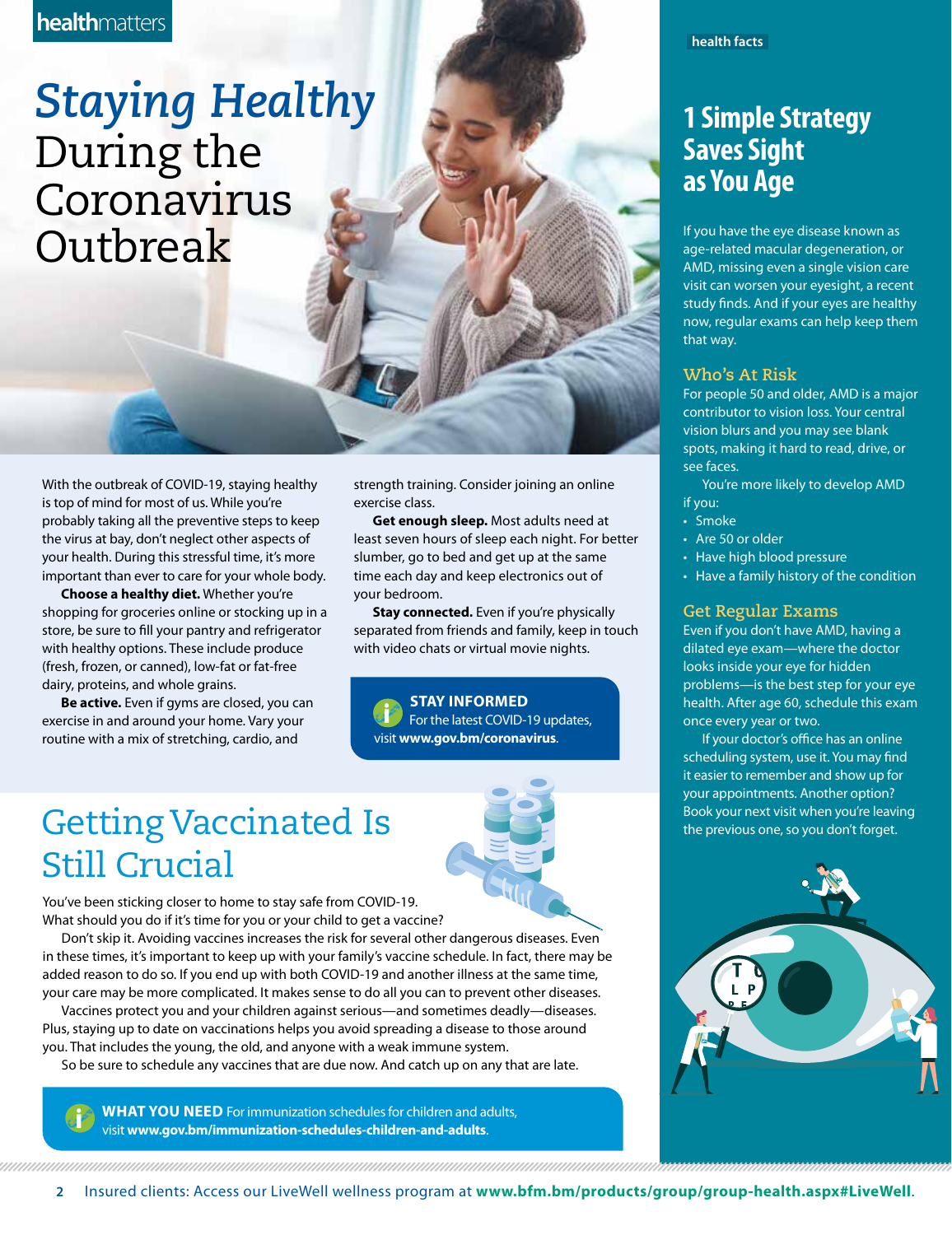# **health**matters

*Staying Healthy* During the Coronavirus **Outbreak** 

With the outbreak of COVID-19, staying healthy is top of mind for most of us. While you're probably taking all the preventive steps to keep the virus at bay, don't neglect other aspects of your health. During this stressful time, it's more important than ever to care for your whole body.

**Choose a healthy diet.** Whether you're shopping for groceries online or stocking up in a store, be sure to fill your pantry and refrigerator with healthy options. These include produce (fresh, frozen, or canned), low-fat or fat-free dairy, proteins, and whole grains.

**Be active.** Even if gyms are closed, you can exercise in and around your home. Vary your routine with a mix of stretching, cardio, and

strength training. Consider joining an online exercise class.

**Get enough sleep.** Most adults need at least seven hours of sleep each night. For better slumber, go to bed and get up at the same time each day and keep electronics out of your bedroom.

**Stay connected.** Even if you're physically separated from friends and family, keep in touch with video chats or virtual movie nights.

**STAY INFORMED**<br>
For the latest COVID-19 updates, visit **www.gov.bm/coronavirus**.

# Getting Vaccinated Is Still Crucial

You've been sticking closer to home to stay safe from COVID-19. What should you do if it's time for you or your child to get a vaccine?

Don't skip it. Avoiding vaccines increases the risk for several other dangerous diseases. Even in these times, it's important to keep up with your family's vaccine schedule. In fact, there may be added reason to do so. If you end up with both COVID-19 and another illness at the same time, your care may be more complicated. It makes sense to do all you can to prevent other diseases.

Vaccines protect you and your children against serious—and sometimes deadly—diseases. Plus, staying up to date on vaccinations helps you avoid spreading a disease to those around you. That includes the young, the old, and anyone with a weak immune system.

So be sure to schedule any vaccines that are due now. And catch up on any that are late.

**WHAT YOU NEED** For immunization schedules for children and adults, visit **www.gov.bm/immunization-schedules-children-and-adults**.

**health facts**

# **1 Simple Strategy Saves Sight as You Age**

If you have the eye disease known as age-related macular degeneration, or AMD, missing even a single vision care visit can worsen your eyesight, a recent study finds. And if your eyes are healthy now, regular exams can help keep them that way.

#### **Who's At Risk**

For people 50 and older, AMD is a major contributor to vision loss. Your central vision blurs and you may see blank spots, making it hard to read, drive, or see faces.

You're more likely to develop AMD if you:

- Smoke
- Are 50 or older
- Have high blood pressure
- Have a family history of the condition

#### **Get Regular Exams**

Even if you don't have AMD, having a dilated eye exam—where the doctor looks inside your eye for hidden problems—is the best step for your eye health. After age 60, schedule this exam once every year or two.

If your doctor's office has an online scheduling system, use it. You may find it easier to remember and show up for your appointments. Another option? Book your next visit when you're leaving the previous one, so you don't forget.